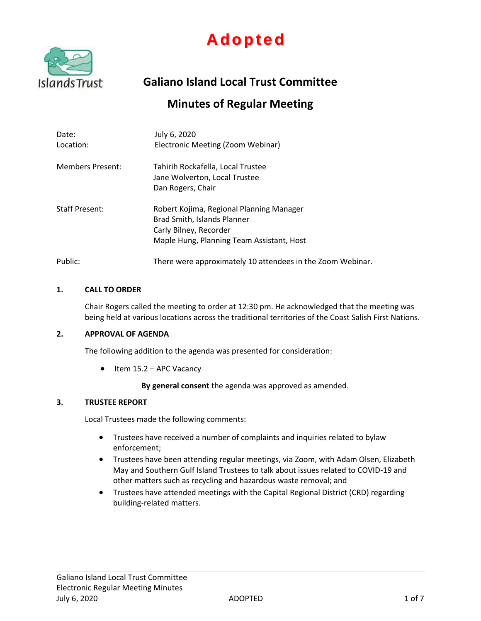



**Galiano Island Local Trust Committee**

# **Minutes of Regular Meeting**

| Date:<br>Location:      | July 6, 2020<br>Electronic Meeting (Zoom Webinar)                                                                                              |
|-------------------------|------------------------------------------------------------------------------------------------------------------------------------------------|
| <b>Members Present:</b> | Tahirih Rockafella, Local Trustee<br>Jane Wolverton, Local Trustee<br>Dan Rogers, Chair                                                        |
| <b>Staff Present:</b>   | Robert Kojima, Regional Planning Manager<br>Brad Smith, Islands Planner<br>Carly Bilney, Recorder<br>Maple Hung, Planning Team Assistant, Host |
| Public:                 | There were approximately 10 attendees in the Zoom Webinar.                                                                                     |

#### **1. CALL TO ORDER**

Chair Rogers called the meeting to order at 12:30 pm. He acknowledged that the meeting was being held at various locations across the traditional territories of the Coast Salish First Nations.

#### **2. APPROVAL OF AGENDA**

The following addition to the agenda was presented for consideration:

 $\bullet$  Item 15.2 – APC Vacancy

**By general consent** the agenda was approved as amended.

## **3. TRUSTEE REPORT**

Local Trustees made the following comments:

- Trustees have received a number of complaints and inquiries related to bylaw enforcement;
- Trustees have been attending regular meetings, via Zoom, with Adam Olsen, Elizabeth May and Southern Gulf Island Trustees to talk about issues related to COVID-19 and other matters such as recycling and hazardous waste removal; and
- Trustees have attended meetings with the Capital Regional District (CRD) regarding building-related matters.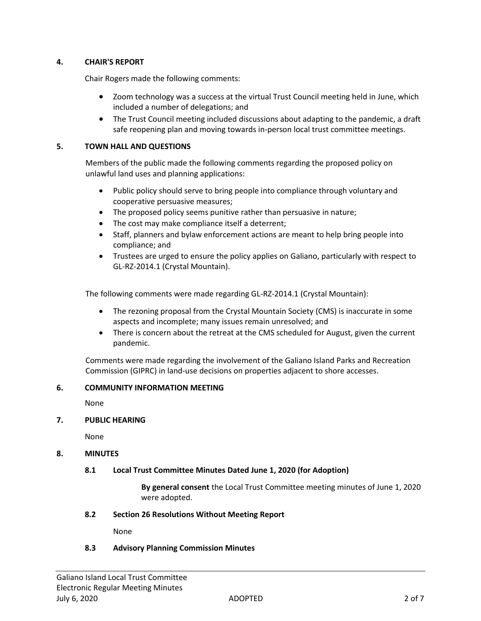## **4. CHAIR'S REPORT**

Chair Rogers made the following comments:

- Zoom technology was a success at the virtual Trust Council meeting held in June, which included a number of delegations; and
- The Trust Council meeting included discussions about adapting to the pandemic, a draft safe reopening plan and moving towards in-person local trust committee meetings.

## **5. TOWN HALL AND QUESTIONS**

Members of the public made the following comments regarding the proposed policy on unlawful land uses and planning applications:

- Public policy should serve to bring people into compliance through voluntary and cooperative persuasive measures;
- The proposed policy seems punitive rather than persuasive in nature;
- The cost may make compliance itself a deterrent;
- Staff, planners and bylaw enforcement actions are meant to help bring people into compliance; and
- Trustees are urged to ensure the policy applies on Galiano, particularly with respect to GL-RZ-2014.1 (Crystal Mountain).

The following comments were made regarding GL-RZ-2014.1 (Crystal Mountain):

- The rezoning proposal from the Crystal Mountain Society (CMS) is inaccurate in some aspects and incomplete; many issues remain unresolved; and
- There is concern about the retreat at the CMS scheduled for August, given the current pandemic.

Comments were made regarding the involvement of the Galiano Island Parks and Recreation Commission (GIPRC) in land-use decisions on properties adjacent to shore accesses.

#### **6. COMMUNITY INFORMATION MEETING**

None

#### **7. PUBLIC HEARING**

None

#### **8. MINUTES**

#### **8.1 Local Trust Committee Minutes Dated June 1, 2020 (for Adoption)**

**By general consent** the Local Trust Committee meeting minutes of June 1, 2020 were adopted.

#### **8.2 Section 26 Resolutions Without Meeting Report**

None

## **8.3 Advisory Planning Commission Minutes**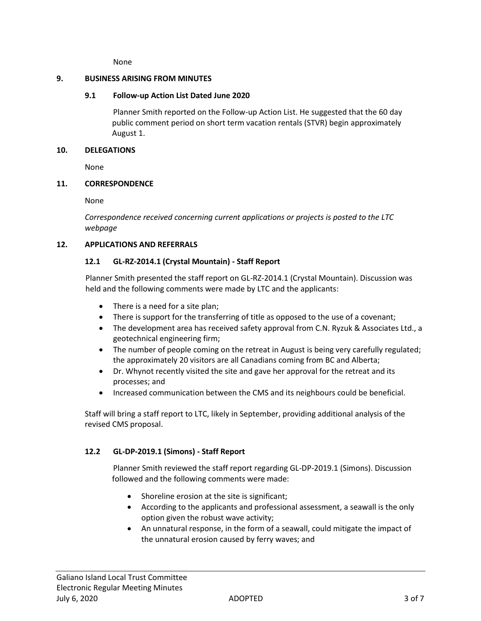None

#### **9. BUSINESS ARISING FROM MINUTES**

## **9.1 Follow-up Action List Dated June 2020**

Planner Smith reported on the Follow-up Action List. He suggested that the 60 day public comment period on short term vacation rentals (STVR) begin approximately August 1.

#### **10. DELEGATIONS**

None

## **11. CORRESPONDENCE**

None

*Correspondence received concerning current applications or projects is posted to the LTC webpage*

## **12. APPLICATIONS AND REFERRALS**

## **12.1 GL-RZ-2014.1 (Crystal Mountain) - Staff Report**

Planner Smith presented the staff report on GL-RZ-2014.1 (Crystal Mountain). Discussion was held and the following comments were made by LTC and the applicants:

- There is a need for a site plan;
- There is support for the transferring of title as opposed to the use of a covenant;
- The development area has received safety approval from C.N. Ryzuk & Associates Ltd., a geotechnical engineering firm;
- The number of people coming on the retreat in August is being very carefully regulated; the approximately 20 visitors are all Canadians coming from BC and Alberta;
- Dr. Whynot recently visited the site and gave her approval for the retreat and its processes; and
- Increased communication between the CMS and its neighbours could be beneficial.

Staff will bring a staff report to LTC, likely in September, providing additional analysis of the revised CMS proposal.

## **12.2 GL-DP-2019.1 (Simons) - Staff Report**

Planner Smith reviewed the staff report regarding GL-DP-2019.1 (Simons). Discussion followed and the following comments were made:

- Shoreline erosion at the site is significant;
- According to the applicants and professional assessment, a seawall is the only option given the robust wave activity;
- An unnatural response, in the form of a seawall, could mitigate the impact of the unnatural erosion caused by ferry waves; and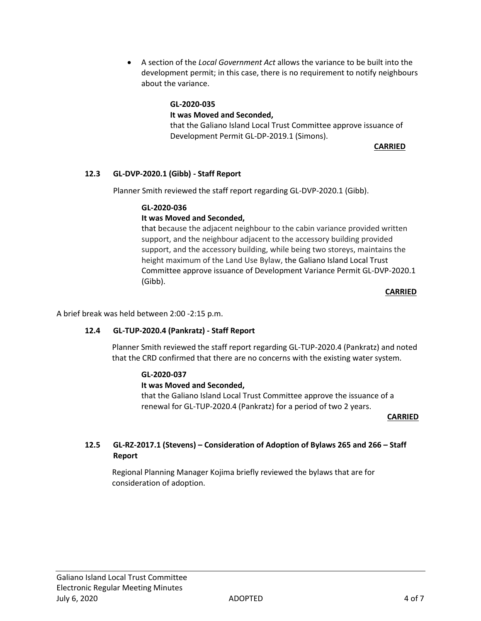A section of the *Local Government Act* allows the variance to be built into the development permit; in this case, there is no requirement to notify neighbours about the variance.

## **GL-2020-035**

## **It was Moved and Seconded,**

that the Galiano Island Local Trust Committee approve issuance of Development Permit GL-DP-2019.1 (Simons).

 **CARRIED**

## **12.3 GL-DVP-2020.1 (Gibb) - Staff Report**

Planner Smith reviewed the staff report regarding GL-DVP-2020.1 (Gibb).

## **GL-2020-036**

## **It was Moved and Seconded,**

that because the adjacent neighbour to the cabin variance provided written support, and the neighbour adjacent to the accessory building provided support, and the accessory building, while being two storeys, maintains the height maximum of the Land Use Bylaw, the Galiano Island Local Trust Committee approve issuance of Development Variance Permit GL-DVP-2020.1 (Gibb).

*CARRIED* **CARRIED** 

A brief break was held between 2:00 -2:15 p.m.

## **12.4 GL-TUP-2020.4 (Pankratz) - Staff Report**

Planner Smith reviewed the staff report regarding GL-TUP-2020.4 (Pankratz) and noted that the CRD confirmed that there are no concerns with the existing water system.

#### **GL-2020-037**

#### **It was Moved and Seconded,**

that the Galiano Island Local Trust Committee approve the issuance of a renewal for GL-TUP-2020.4 (Pankratz) for a period of two 2 years.

#### *CARRIED* **CARRIED**

## **12.5 GL-RZ-2017.1 (Stevens) – Consideration of Adoption of Bylaws 265 and 266 – Staff Report**

Regional Planning Manager Kojima briefly reviewed the bylaws that are for consideration of adoption.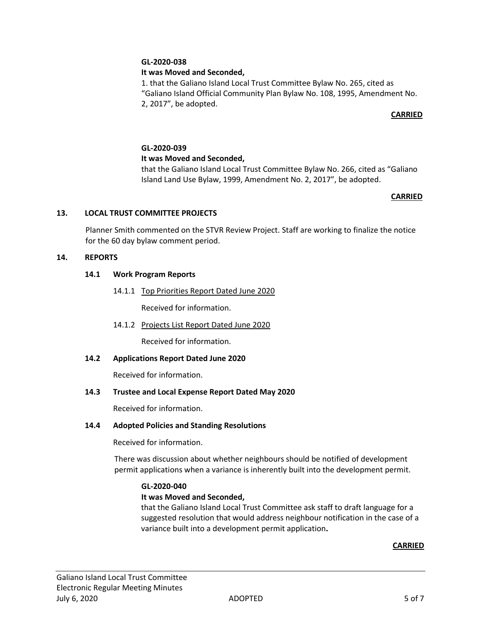## **GL-2020-038**

## **It was Moved and Seconded,**

1. that the Galiano Island Local Trust Committee Bylaw No. 265, cited as "Galiano Island Official Community Plan Bylaw No. 108, 1995, Amendment No. 2, 2017", be adopted.

## *CARRIED*

# **GL-2020-039 It was Moved and Seconded,**

that the Galiano Island Local Trust Committee Bylaw No. 266, cited as "Galiano Island Land Use Bylaw, 1999, Amendment No. 2, 2017", be adopted.

#### **CARRIED**

#### **13. LOCAL TRUST COMMITTEE PROJECTS**

Planner Smith commented on the STVR Review Project. Staff are working to finalize the notice for the 60 day bylaw comment period.

#### **14. REPORTS**

## **14.1 Work Program Reports**

14.1.1 Top Priorities Report Dated June 2020

Received for information.

14.1.2 Projects List Report Dated June 2020

Received for information.

#### **14.2 Applications Report Dated June 2020**

Received for information.

#### **14.3 Trustee and Local Expense Report Dated May 2020**

Received for information.

#### **14.4 Adopted Policies and Standing Resolutions**

Received for information.

There was discussion about whether neighbours should be notified of development permit applications when a variance is inherently built into the development permit.

#### **GL-2020-040**

#### **It was Moved and Seconded,**

that the Galiano Island Local Trust Committee ask staff to draft language for a suggested resolution that would address neighbour notification in the case of a variance built into a development permit application**.**

#### **CARRIED**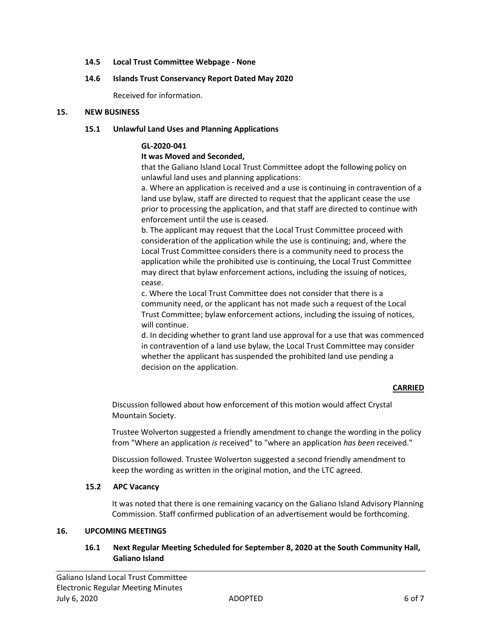### **14.5 Local Trust Committee Webpage - None**

#### **14.6 Islands Trust Conservancy Report Dated May 2020**

Received for information.

#### **15. NEW BUSINESS**

## **15.1 Unlawful Land Uses and Planning Applications**

## **GL-2020-041**

## **It was Moved and Seconded,**

that the Galiano Island Local Trust Committee adopt the following policy on unlawful land uses and planning applications:

a. Where an application is received and a use is continuing in contravention of a land use bylaw, staff are directed to request that the applicant cease the use prior to processing the application, and that staff are directed to continue with enforcement until the use is ceased.

b. The applicant may request that the Local Trust Committee proceed with consideration of the application while the use is continuing; and, where the Local Trust Committee considers there is a community need to process the application while the prohibited use is continuing, the Local Trust Committee may direct that bylaw enforcement actions, including the issuing of notices, cease.

c. Where the Local Trust Committee does not consider that there is a community need, or the applicant has not made such a request of the Local Trust Committee; bylaw enforcement actions, including the issuing of notices, will continue.

d. In deciding whether to grant land use approval for a use that was commenced in contravention of a land use bylaw, the Local Trust Committee may consider whether the applicant has suspended the prohibited land use pending a decision on the application.

#### **CARRIED**

Discussion followed about how enforcement of this motion would affect Crystal Mountain Society.

Trustee Wolverton suggested a friendly amendment to change the wording in the policy from "Where an application *is* received" to "where an application *has been* received."

Discussion followed. Trustee Wolverton suggested a second friendly amendment to keep the wording as written in the original motion, and the LTC agreed.

#### **15.2 APC Vacancy**

It was noted that there is one remaining vacancy on the Galiano Island Advisory Planning Commission. Staff confirmed publication of an advertisement would be forthcoming.

#### **16. UPCOMING MEETINGS**

## **16.1 Next Regular Meeting Scheduled for September 8, 2020 at the South Community Hall, Galiano Island**